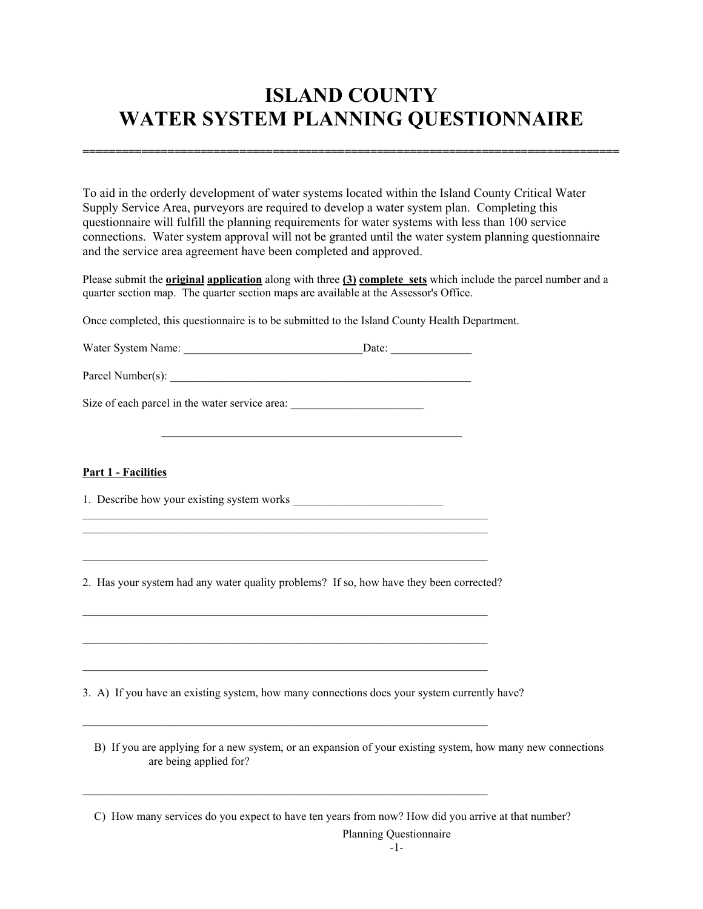# **ISLAND COUNTY WATER SYSTEM PLANNING QUESTIONNAIRE**

**==================================================================================** 

To aid in the orderly development of water systems located within the Island County Critical Water Supply Service Area, purveyors are required to develop a water system plan. Completing this questionnaire will fulfill the planning requirements for water systems with less than 100 service connections. Water system approval will not be granted until the water system planning questionnaire and the service area agreement have been completed and approved.

Please submit the **original application** along with three **(3) complete sets** which include the parcel number and a quarter section map. The quarter section maps are available at the Assessor's Office.

Once completed, this questionnaire is to be submitted to the Island County Health Department.

| Water System Name: | Date: |
|--------------------|-------|
|                    |       |

Parcel Number(s):

Size of each parcel in the water service area:

#### **Part 1 - Facilities**

1. Describe how your existing system works

 $\_$  , and the set of the set of the set of the set of the set of the set of the set of the set of the set of the set of the set of the set of the set of the set of the set of the set of the set of the set of the set of th  $\_$  , and the set of the set of the set of the set of the set of the set of the set of the set of the set of the set of the set of the set of the set of the set of the set of the set of the set of the set of the set of th

 $\_$  , and the set of the set of the set of the set of the set of the set of the set of the set of the set of the set of the set of the set of the set of the set of the set of the set of the set of the set of the set of th

 $\_$  , and the set of the set of the set of the set of the set of the set of the set of the set of the set of the set of the set of the set of the set of the set of the set of the set of the set of the set of the set of th

 $\_$  , and the set of the set of the set of the set of the set of the set of the set of the set of the set of the set of the set of the set of the set of the set of the set of the set of the set of the set of the set of th

 $\_$  , and the set of the set of the set of the set of the set of the set of the set of the set of the set of the set of the set of the set of the set of the set of the set of the set of the set of the set of the set of th

 $\_$  , and the set of the set of the set of the set of the set of the set of the set of the set of the set of the set of the set of the set of the set of the set of the set of the set of the set of the set of the set of th

 $\_$  , and the set of the set of the set of the set of the set of the set of the set of the set of the set of the set of the set of the set of the set of the set of the set of the set of the set of the set of the set of th

 $\mathcal{L}_\text{max} = \mathcal{L}_\text{max} = \mathcal{L}_\text{max} = \mathcal{L}_\text{max} = \mathcal{L}_\text{max} = \mathcal{L}_\text{max} = \mathcal{L}_\text{max} = \mathcal{L}_\text{max} = \mathcal{L}_\text{max} = \mathcal{L}_\text{max} = \mathcal{L}_\text{max} = \mathcal{L}_\text{max} = \mathcal{L}_\text{max} = \mathcal{L}_\text{max} = \mathcal{L}_\text{max} = \mathcal{L}_\text{max} = \mathcal{L}_\text{max} = \mathcal{L}_\text{max} = \mathcal{$ 

2. Has your system had any water quality problems? If so, how have they been corrected?

3. A) If you have an existing system, how many connections does your system currently have?

 B) If you are applying for a new system, or an expansion of your existing system, how many new connections are being applied for?

C) How many services do you expect to have ten years from now? How did you arrive at that number?

Planning Questionnaire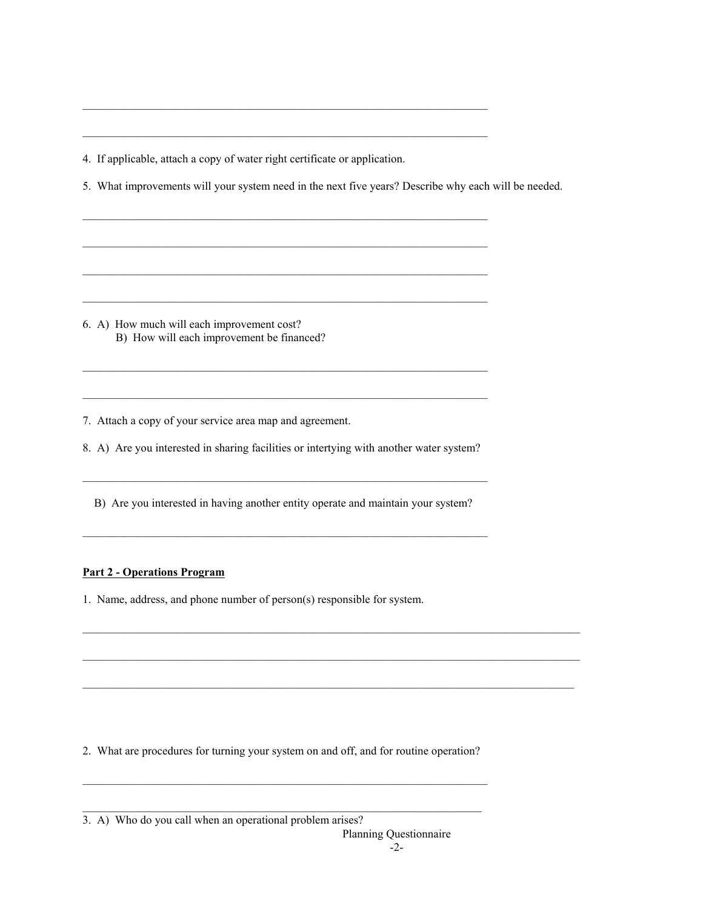4. If applicable, attach a copy of water right certificate or application.

5. What improvements will your system need in the next five years? Describe why each will be needed.

 $\_$  , and the set of the set of the set of the set of the set of the set of the set of the set of the set of the set of the set of the set of the set of the set of the set of the set of the set of the set of the set of th

 $\_$  , and the set of the set of the set of the set of the set of the set of the set of the set of the set of the set of the set of the set of the set of the set of the set of the set of the set of the set of the set of th

 $\_$  , and the set of the set of the set of the set of the set of the set of the set of the set of the set of the set of the set of the set of the set of the set of the set of the set of the set of the set of the set of th

 $\_$  , and the set of the set of the set of the set of the set of the set of the set of the set of the set of the set of the set of the set of the set of the set of the set of the set of the set of the set of the set of th

 $\_$  , and the set of the set of the set of the set of the set of the set of the set of the set of the set of the set of the set of the set of the set of the set of the set of the set of the set of the set of the set of th

 $\_$  , and the set of the set of the set of the set of the set of the set of the set of the set of the set of the set of the set of the set of the set of the set of the set of the set of the set of the set of the set of th

 $\_$  , and the set of the set of the set of the set of the set of the set of the set of the set of the set of the set of the set of the set of the set of the set of the set of the set of the set of the set of the set of th

 $\_$  , and the set of the set of the set of the set of the set of the set of the set of the set of the set of the set of the set of the set of the set of the set of the set of the set of the set of the set of the set of th

6. A) How much will each improvement cost? B) How will each improvement be financed?

7. Attach a copy of your service area map and agreement.

8. A) Are you interested in sharing facilities or intertying with another water system?

B) Are you interested in having another entity operate and maintain your system?

 $\_$  , and the set of the set of the set of the set of the set of the set of the set of the set of the set of the set of the set of the set of the set of the set of the set of the set of the set of the set of the set of th

 $\_$  , and the state of the state of the state of the state of the state of the state of the state of the state of the state of the state of the state of the state of the state of the state of the state of the state of the

 $\_$  , and the state of the state of the state of the state of the state of the state of the state of the state of the state of the state of the state of the state of the state of the state of the state of the state of the

 $\_$  , and the state of the state of the state of the state of the state of the state of the state of the state of the state of the state of the state of the state of the state of the state of the state of the state of the

 $\_$  , and the set of the set of the set of the set of the set of the set of the set of the set of the set of the set of the set of the set of the set of the set of the set of the set of the set of the set of the set of th

#### **Part 2 - Operations Program**

1. Name, address, and phone number of person(s) responsible for system.

2. What are procedures for turning your system on and off, and for routine operation?

 $\_$  , and the set of the set of the set of the set of the set of the set of the set of the set of the set of the set of the set of the set of the set of the set of the set of the set of the set of the set of the set of th

 $\_$  , and the set of the set of the set of the set of the set of the set of the set of the set of the set of the set of the set of the set of the set of the set of the set of the set of the set of the set of the set of th

3. A) Who do you call when an operational problem arises?

Planning Questionnaire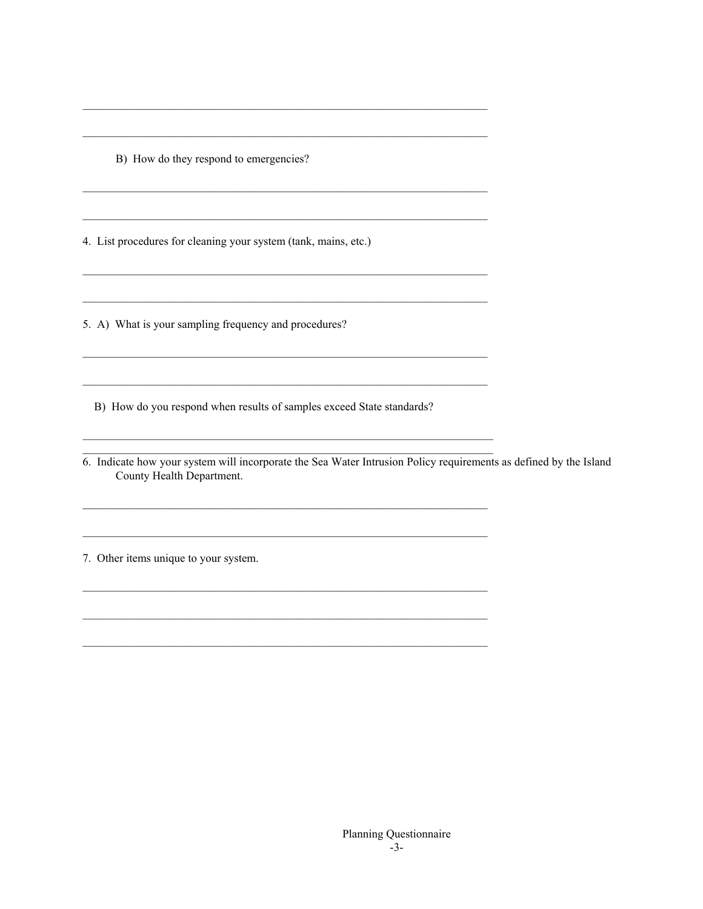B) How do they respond to emergencies?

4. List procedures for cleaning your system (tank, mains, etc.)

5. A) What is your sampling frequency and procedures?

B) How do you respond when results of samples exceed State standards?

6. Indicate how your system will incorporate the Sea Water Intrusion Policy requirements as defined by the Island County Health Department.

<u> 1989 - Johann Harry Harry Harry Harry Harry Harry Harry Harry Harry Harry Harry Harry Harry Harry Harry Harry</u>

7. Other items unique to your system.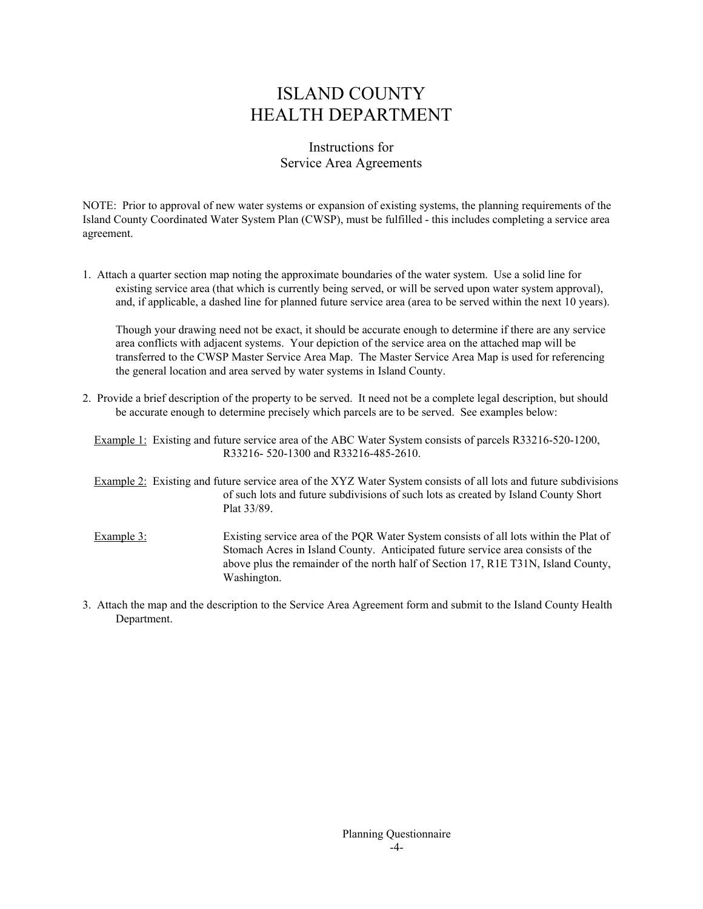# ISLAND COUNTY HEALTH DEPARTMENT

### Instructions for Service Area Agreements

NOTE: Prior to approval of new water systems or expansion of existing systems, the planning requirements of the Island County Coordinated Water System Plan (CWSP), must be fulfilled - this includes completing a service area agreement.

1. Attach a quarter section map noting the approximate boundaries of the water system. Use a solid line for existing service area (that which is currently being served, or will be served upon water system approval), and, if applicable, a dashed line for planned future service area (area to be served within the next 10 years).

 Though your drawing need not be exact, it should be accurate enough to determine if there are any service area conflicts with adjacent systems. Your depiction of the service area on the attached map will be transferred to the CWSP Master Service Area Map. The Master Service Area Map is used for referencing the general location and area served by water systems in Island County.

2. Provide a brief description of the property to be served. It need not be a complete legal description, but should be accurate enough to determine precisely which parcels are to be served. See examples below:

 Example 1: Existing and future service area of the ABC Water System consists of parcels R33216-520-1200, R33216- 520-1300 and R33216-485-2610.

- Example 2: Existing and future service area of the XYZ Water System consists of all lots and future subdivisions of such lots and future subdivisions of such lots as created by Island County Short Plat 33/89.
- Example 3: Existing service area of the PQR Water System consists of all lots within the Plat of Stomach Acres in Island County. Anticipated future service area consists of the above plus the remainder of the north half of Section 17, R1E T31N, Island County, Washington.
- 3. Attach the map and the description to the Service Area Agreement form and submit to the Island County Health Department.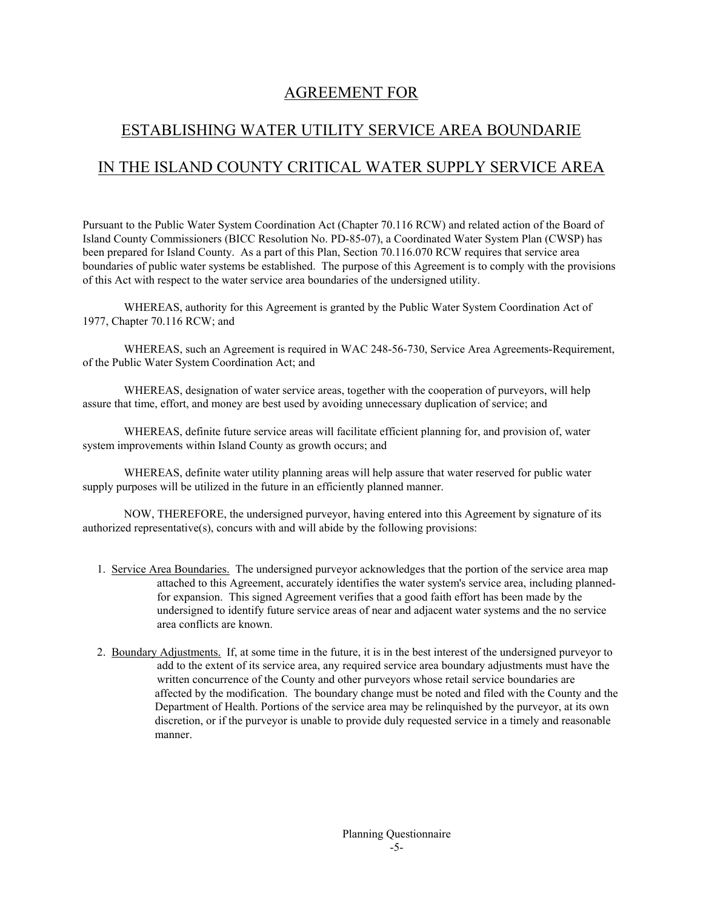### AGREEMENT FOR

## ESTABLISHING WATER UTILITY SERVICE AREA BOUNDARIE

# IN THE ISLAND COUNTY CRITICAL WATER SUPPLY SERVICE AREA

Pursuant to the Public Water System Coordination Act (Chapter 70.116 RCW) and related action of the Board of Island County Commissioners (BICC Resolution No. PD-85-07), a Coordinated Water System Plan (CWSP) has been prepared for Island County. As a part of this Plan, Section 70.116.070 RCW requires that service area boundaries of public water systems be established. The purpose of this Agreement is to comply with the provisions of this Act with respect to the water service area boundaries of the undersigned utility.

 WHEREAS, authority for this Agreement is granted by the Public Water System Coordination Act of 1977, Chapter 70.116 RCW; and

 WHEREAS, such an Agreement is required in WAC 248-56-730, Service Area Agreements-Requirement, of the Public Water System Coordination Act; and

 WHEREAS, designation of water service areas, together with the cooperation of purveyors, will help assure that time, effort, and money are best used by avoiding unnecessary duplication of service; and

 WHEREAS, definite future service areas will facilitate efficient planning for, and provision of, water system improvements within Island County as growth occurs; and

 WHEREAS, definite water utility planning areas will help assure that water reserved for public water supply purposes will be utilized in the future in an efficiently planned manner.

 NOW, THEREFORE, the undersigned purveyor, having entered into this Agreement by signature of its authorized representative(s), concurs with and will abide by the following provisions:

- 1. Service Area Boundaries. The undersigned purveyor acknowledges that the portion of the service area map attached to this Agreement, accurately identifies the water system's service area, including plannedfor expansion. This signed Agreement verifies that a good faith effort has been made by the undersigned to identify future service areas of near and adjacent water systems and the no service area conflicts are known.
- 2. Boundary Adjustments. If, at some time in the future, it is in the best interest of the undersigned purveyor to add to the extent of its service area, any required service area boundary adjustments must have the written concurrence of the County and other purveyors whose retail service boundaries are affected by the modification. The boundary change must be noted and filed with the County and the Department of Health. Portions of the service area may be relinquished by the purveyor, at its own discretion, or if the purveyor is unable to provide duly requested service in a timely and reasonable manner.